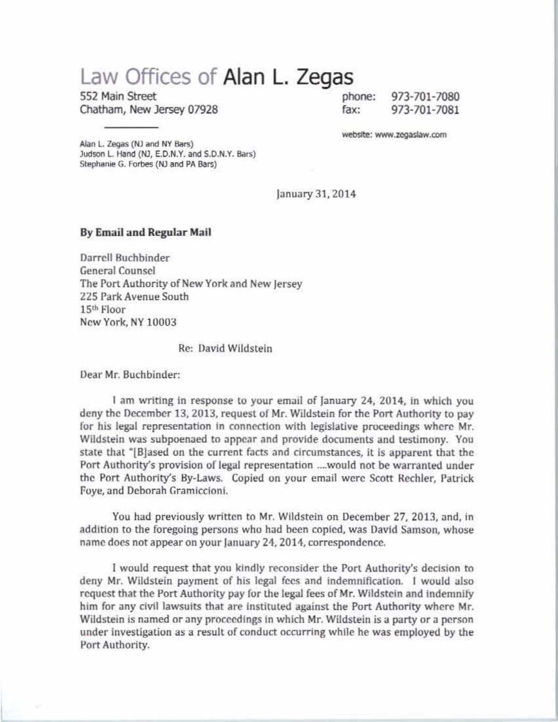## **Law Offices of Alan L. Zegas**

552 Main Street phone: Chatham, New Jersey 07928 fax:

973-701-7080 973-701-7081

website: www.zeoaslaw.com

Alan L. Zegas (NJ and NY Bars) Judson L. Hand (NJ, E.D.N.Y. and S.D.N.Y. Bars) Stephanie G. Forbes (NJ and PA Bars)

january 31,2014

## By Email and Regular Mail

Darrell Buchbinder General Counsel The Port Authority of New York and New jersey 225 Park Avenue South 15<sup>th</sup> Floor New York, NY 10003

Re: David Wildstein

Dear Mr. Buchbinder:

I am writing in response to your email of january 24, 2014, in which you deny the December 13, 2013, request of Mr. Wildstein for the Port Authority to pay for his legal representation in connection with legislative proceedings where Mr. Wildstein was subpoenaed to appear and provide documents and testimony. You state that "[Bjased on the current facts and circumstances, it is apparent that the Port Authority's provision of legal representation ....would not be warranted under the Port Authority's By-Laws. Copied on your email were Scott Rechler, Patrick Foye, and Deborah Gramiccioni.

You had previously written to Mr. Wildstein on December 27, 2013, and, in addition to the foregoing persons who had been copied, was David Samson, whose name does not appear on your January 24, 2014, correspondence.

I would request that you kindly reconsider the Port Authority's decision to deny Mr. Wildstein payment of his legal fees and indemnification. I would also request that the Port Authority pay for the legal fees of Mr. Wildstein and indemnify him for any civil lawsuits that are instituted against the Port Authority where Mr. Wildstein is named or any proceedings in which Mr. Wildstein is a party or a person under investigation as a result of conduct occurring while he was employed by the Port Authority.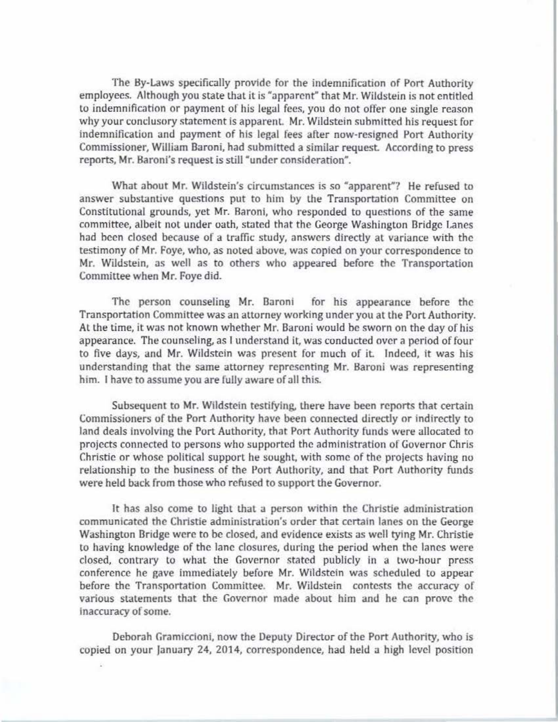The By-Laws specifically provide for the indemnification of Port Authority employees. Although you state that it is "apparent" that Mr. Wildstein is not entitled to indemnification or payment of his legal fees, you do not offer one single reason why your conclusory statement is apparent. Mr. Wildstein submitted his request for indemnification and payment of his legal fees after now-resigned Port Authority Commissioner. William Baroni, had submitted a similar request. According to press reports, Mr. Baroni's request is still "under consideration".

What ahout Mr. Wildstein's circumstances is so "apparent""? He refused to answer substantive questions put to him by the Transportation Committee on Constitutional grounds, yet Mr. Baroni, who responded to questions of the same committee, albeit not under oath, stated that the George Washington Bridge Lanes had been closed because of a traffic study, answers directly at variance with the testimony of Mr. Foye, who, as noted above, was copied on your correspondence to Mr. Wildstein, as well as to others who appeared before the Transportation Committee when Mr. Foye did.

The person counseling Mr. Baroni for his appearance before the Transportation Committee was an attorney working under you at the Port Authority. At the time, it was not known whether Mr. Baroni would be sworn on the day of his appearance. The counseling, as I understand it, was conducted over a period of four to five days, and Mr. Wildstein was present for much of it Indeed, it was his understanding that the same attorney representing Mr. Baroni was representing him. I have to assume you are fully aware of all this.

Subsequent to Mr. Wildstein testifying, there have been reports that certain Commissioners of the Port Authority have been connected directly or indirectly to land deals involving the Port Authority, that Port Authority funds were allocated to projects connected to persons who supported the administration of Governor Chris Christie or whose political support he sought, with some of the projects having no relationship to the husiness of the Port Authority, and that Port Authority funds were held back from those who refused to support the Governor.

It has also come to light that a person within the Christie administration communicated the Christie adminislration's order that certain lanes on the George Washington Bridge were to be closed, and evidence exists as well tying Mr. Christie to having knowledge of the lane closures, during the period when the lanes were closed, contrary to what the Governor stated publicly in a two-hour press conference he gave immediately before Mr. Wildstein was scheduled to appear before the Transportation Committee. Mr. Wildstein contests the accuracy of various statements that the Governor made about him and he can prove the Inaccuracy of some.

Deborah Gramiccioni, now the Deputy Director of the Port Authority, who is copied on your january 24, 2014, correspondence, bad held a high level position